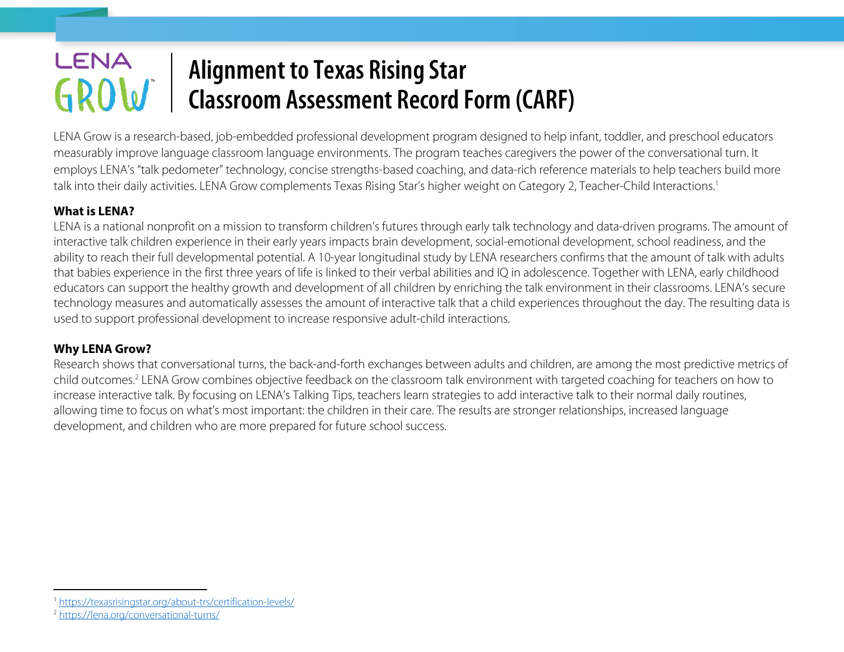## LENA **Alignment to Texas Rising Star**  GROW **Classroom Assessment Record Form (CARF)**

LENA Grow is a research-based, job-embedded professional development program designed to help infant, toddler, and preschool educators measurably improve language classroom language environments. The program teaches caregivers the power of the conversational turn. It employs LENA's "talk pedometer" technology, concise strengths-based coaching, and data-rich reference materials to help teachers build more talk into their daily activities. LENA Grow complements Texas Rising Star's higher weight on Category 2, Teacher-Child Interactions. 1

## **What is LENA?**

LENA is a national nonprofit on a mission to transform children's futures through early talk technology and data-driven programs. The amount of interactive talk children experience in their early years impacts brain development, social-emotional development, school readiness, and the ability to reach their full developmental potential. A 10-year longitudinal study by LENA researchers confirms that the amount of talk with adults that babies experience in the first three years of life is linked to their verbal abilities and IQ in adolescence. Together with LENA, early childhood educators can support the healthy growth and development of all children by enriching the talk environment in their classrooms. LENA's secure technology measures and automatically assesses the amount of interactive talk that a child experiences throughout the day. The resulting data is used to support professional development to increase responsive adult-child interactions.

## **Why LENA Grow?**

Research shows that conversational turns, the back-and-forth exchanges between adults and children, are among the most predictive metrics of child outcomes.2 LENA Grow combines objective feedback on the classroom talk environment with targeted coaching for teachers on how to increase interactive talk. By focusing on LENA's Talking Tips, teachers learn strategies to add interactive talk to their normal daily routines, allowing time to focus on what's most important: the children in their care. The results are stronger relationships, increased language development, and children who are more prepared for future school success.

<sup>1</sup> https://texasrisingstar.org/about-trs/certification-levels/

<sup>2</sup> https://lena.org/conversational-turns/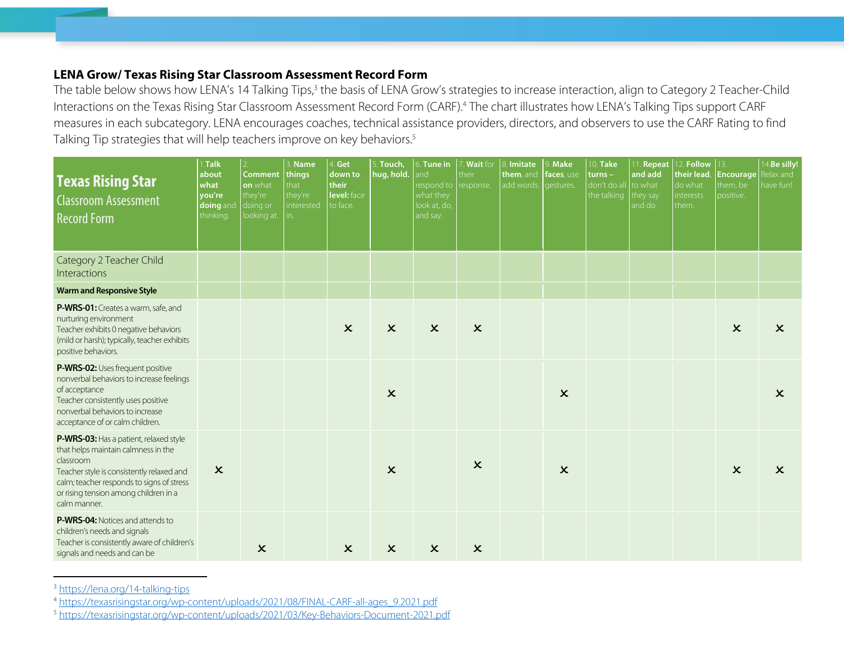## **LENA Grow/ Texas Rising Star Classroom Assessment Record Form**

The table below shows how LENA's 14 Talking Tips,<sup>3</sup> the basis of LENA Grow's strategies to increase interaction, align to Category 2 Teacher-Child Interactions on the Texas Rising Star Classroom Assessment Record Form (CARF). <sup>4</sup> The chart illustrates how LENA's Talking Tips support CARF measures in each subcategory. LENA encourages coaches, technical assistance providers, directors, and observers to use the CARF Rating to find Talking Tip strategies that will help teachers improve on key behaviors. 5

| <b>Texas Rising Star</b><br><b>Classroom Assessment</b><br><b>Record Form</b>                                                                                                                                                                 | 1.Talk<br>about<br>what<br>you're<br>doing and<br>thinking. | 2 <sub>1</sub><br><b>Comment</b><br>on what<br>they're<br>doing or<br>looking at. | 3. Name<br>things<br>that<br>they're<br>nterested | Get<br>down to<br>their<br>level: face<br>to face. | 5. Touch,<br>hug, hold.   | 6. Tune in<br>and<br>respond to<br>what they<br>look at, do,<br>and say. | 7. Wait for<br>their<br>response. | Imitate<br>them, and<br>add words. | $9.$ Make<br>faces, use<br>gestures. | 10. Take<br>$turns -$<br>don't do al<br>the talking | 1. Repeat<br>and add<br>to what<br>they say<br>and do | 12. Follow<br>their lead,<br>do what<br>interests<br>them. | 13.<br>Encourage<br>them, be<br>positive. | 4.Be silly!<br>elax and<br>have fun! |
|-----------------------------------------------------------------------------------------------------------------------------------------------------------------------------------------------------------------------------------------------|-------------------------------------------------------------|-----------------------------------------------------------------------------------|---------------------------------------------------|----------------------------------------------------|---------------------------|--------------------------------------------------------------------------|-----------------------------------|------------------------------------|--------------------------------------|-----------------------------------------------------|-------------------------------------------------------|------------------------------------------------------------|-------------------------------------------|--------------------------------------|
| Category 2 Teacher Child<br>Interactions                                                                                                                                                                                                      |                                                             |                                                                                   |                                                   |                                                    |                           |                                                                          |                                   |                                    |                                      |                                                     |                                                       |                                                            |                                           |                                      |
| <b>Warm and Responsive Style</b>                                                                                                                                                                                                              |                                                             |                                                                                   |                                                   |                                                    |                           |                                                                          |                                   |                                    |                                      |                                                     |                                                       |                                                            |                                           |                                      |
| P-WRS-01: Creates a warm, safe, and<br>nurturing environment<br>Teacher exhibits 0 negative behaviors<br>(mild or harsh); typically, teacher exhibits<br>positive behaviors.                                                                  |                                                             |                                                                                   |                                                   | $\boldsymbol{\mathsf{x}}$                          | $\boldsymbol{\mathsf{x}}$ | $\pmb{\times}$                                                           | $\boldsymbol{\mathsf{x}}$         |                                    |                                      |                                                     |                                                       |                                                            | $\boldsymbol{\mathsf{x}}$                 | $\boldsymbol{\mathsf{x}}$            |
| P-WRS-02: Uses frequent positive<br>nonverbal behaviors to increase feelings<br>of acceptance<br>Teacher consistently uses positive<br>nonverbal behaviors to increase<br>acceptance of or calm children.                                     |                                                             |                                                                                   |                                                   |                                                    | $\boldsymbol{\mathsf{x}}$ |                                                                          |                                   |                                    | $\pmb{\times}$                       |                                                     |                                                       |                                                            |                                           | $\boldsymbol{\mathsf{x}}$            |
| P-WRS-03: Has a patient, relaxed style<br>that helps maintain calmness in the<br>classroom<br>Teacher style is consistently relaxed and<br>calm; teacher responds to signs of stress<br>or rising tension among children in a<br>calm manner. | $\boldsymbol{\mathsf{x}}$                                   |                                                                                   |                                                   |                                                    | $\boldsymbol{\mathsf{x}}$ |                                                                          | $\boldsymbol{\mathsf{x}}$         |                                    | $\boldsymbol{\mathsf{x}}$            |                                                     |                                                       |                                                            | $\boldsymbol{\mathsf{x}}$                 | $\boldsymbol{\mathsf{x}}$            |
| <b>P-WRS-04:</b> Notices and attends to<br>children's needs and signals<br>Teacher is consistently aware of children's<br>signals and needs and can be                                                                                        |                                                             | $\boldsymbol{\mathsf{x}}$                                                         |                                                   | $\boldsymbol{\mathsf{x}}$                          | $\boldsymbol{\mathsf{x}}$ | $\boldsymbol{\mathsf{x}}$                                                | $\boldsymbol{\mathsf{x}}$         |                                    |                                      |                                                     |                                                       |                                                            |                                           |                                      |

<sup>3</sup> https://lena.org/14-talking-tips

<sup>4</sup> https://texasrisingstar.org/wp-content/uploads/2021/08/FINAL-CARF-all-ages\_9.2021.pdf

<sup>5</sup> https://texasrisingstar.org/wp-content/uploads/2021/03/Key-Behaviors-Document-2021.pdf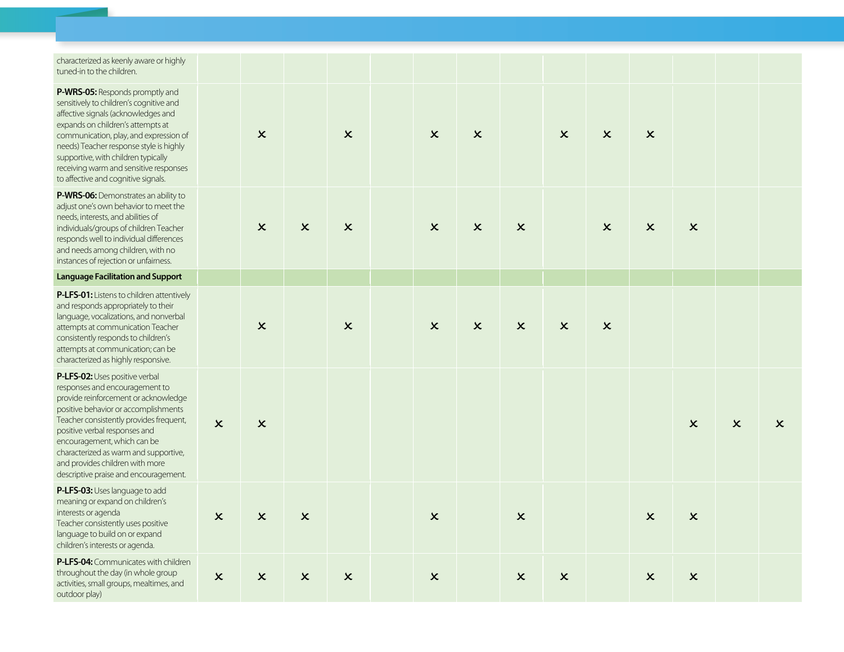| characterized as keenly aware or highly |
|-----------------------------------------|
| tuned-in to the children.               |

| tuned-in to the children.                                                                                                                                                                                                                                                                                                                                                        |                           |                           |                           |                           |                           |                           |                           |                           |                           |                           |                           |                           |                           |
|----------------------------------------------------------------------------------------------------------------------------------------------------------------------------------------------------------------------------------------------------------------------------------------------------------------------------------------------------------------------------------|---------------------------|---------------------------|---------------------------|---------------------------|---------------------------|---------------------------|---------------------------|---------------------------|---------------------------|---------------------------|---------------------------|---------------------------|---------------------------|
| P-WRS-05: Responds promptly and<br>sensitively to children's cognitive and<br>affective signals (acknowledges and<br>expands on children's attempts at<br>communication, play, and expression of<br>needs) Teacher response style is highly<br>supportive, with children typically<br>receiving warm and sensitive responses<br>to affective and cognitive signals.              |                           | $\boldsymbol{\mathsf{x}}$ |                           | $\boldsymbol{\mathsf{x}}$ | $\boldsymbol{\mathsf{x}}$ | $\boldsymbol{\mathsf{x}}$ |                           | $\boldsymbol{\mathsf{x}}$ | $\boldsymbol{\mathsf{x}}$ | $\boldsymbol{\mathsf{x}}$ |                           |                           |                           |
| P-WRS-06: Demonstrates an ability to<br>adjust one's own behavior to meet the<br>needs, interests, and abilities of<br>individuals/groups of children Teacher<br>responds well to individual differences<br>and needs among children, with no<br>instances of rejection or unfairness.                                                                                           |                           | $\boldsymbol{\mathsf{x}}$ | $\boldsymbol{\mathsf{x}}$ | $\boldsymbol{\mathsf{x}}$ | $\boldsymbol{\mathsf{x}}$ | $\boldsymbol{\mathsf{x}}$ | $\boldsymbol{\mathsf{x}}$ |                           | $\boldsymbol{\mathsf{x}}$ | $\boldsymbol{\mathsf{x}}$ | $\boldsymbol{\mathsf{x}}$ |                           |                           |
| <b>Language Facilitation and Support</b>                                                                                                                                                                                                                                                                                                                                         |                           |                           |                           |                           |                           |                           |                           |                           |                           |                           |                           |                           |                           |
| P-LFS-01: Listens to children attentively<br>and responds appropriately to their<br>language, vocalizations, and nonverbal<br>attempts at communication Teacher<br>consistently responds to children's<br>attempts at communication; can be<br>characterized as highly responsive.                                                                                               |                           | $\boldsymbol{\mathsf{x}}$ |                           | $\boldsymbol{\mathsf{x}}$ | $\boldsymbol{\mathsf{x}}$ | $\boldsymbol{\mathsf{x}}$ | $\boldsymbol{\mathsf{x}}$ | $\boldsymbol{\mathsf{x}}$ | $\boldsymbol{\mathsf{x}}$ |                           |                           |                           |                           |
| P-LFS-02: Uses positive verbal<br>responses and encouragement to<br>provide reinforcement or acknowledge<br>positive behavior or accomplishments<br>Teacher consistently provides frequent,<br>positive verbal responses and<br>encouragement, which can be<br>characterized as warm and supportive,<br>and provides children with more<br>descriptive praise and encouragement. | $\boldsymbol{\mathsf{x}}$ | $\boldsymbol{\mathsf{x}}$ |                           |                           |                           |                           |                           |                           |                           |                           | $\boldsymbol{\mathsf{x}}$ | $\boldsymbol{\mathsf{x}}$ | $\boldsymbol{\mathsf{x}}$ |
| P-LFS-03: Uses language to add<br>meaning or expand on children's<br>interests or agenda<br>Teacher consistently uses positive<br>language to build on or expand<br>children's interests or agenda.                                                                                                                                                                              | $\boldsymbol{\mathsf{x}}$ | $\boldsymbol{\mathsf{x}}$ | $\boldsymbol{\mathsf{x}}$ |                           | $\boldsymbol{\mathsf{x}}$ |                           | $\boldsymbol{\mathsf{x}}$ |                           |                           | $\boldsymbol{\mathsf{x}}$ | $\mathsf{x}$              |                           |                           |
| P-LFS-04: Communicates with children<br>throughout the day (in whole group<br>activities, small groups, mealtimes, and<br>outdoor play)                                                                                                                                                                                                                                          | $\boldsymbol{\mathsf{x}}$ | $\pmb{\times}$            | $\boldsymbol{\mathsf{x}}$ | $\boldsymbol{\mathsf{x}}$ | $\boldsymbol{\mathsf{x}}$ |                           | $\boldsymbol{\mathsf{x}}$ | $\boldsymbol{\mathsf{x}}$ |                           | $\boldsymbol{\mathsf{x}}$ | $\boldsymbol{\mathsf{x}}$ |                           |                           |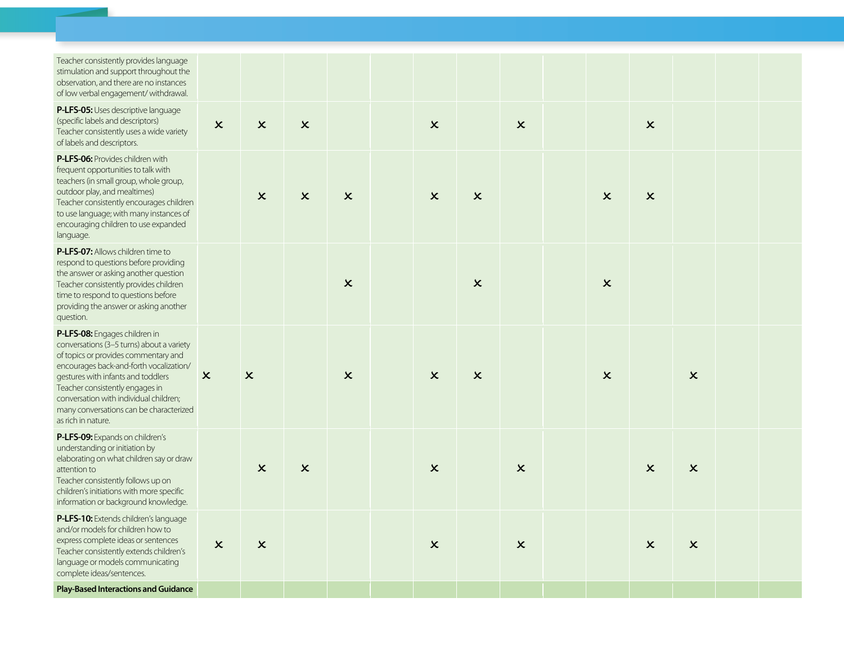| Teacher consistently provides language<br>stimulation and support throughout the<br>observation, and there are no instances<br>of low verbal engagement/withdrawal.                                                                                                                                                                               |                           |                           |                           |                           |                           |                           |                           |                           |                           |                           |  |
|---------------------------------------------------------------------------------------------------------------------------------------------------------------------------------------------------------------------------------------------------------------------------------------------------------------------------------------------------|---------------------------|---------------------------|---------------------------|---------------------------|---------------------------|---------------------------|---------------------------|---------------------------|---------------------------|---------------------------|--|
| P-LFS-05: Uses descriptive language<br>(specific labels and descriptors)<br>Teacher consistently uses a wide variety<br>of labels and descriptors.                                                                                                                                                                                                | $\boldsymbol{\mathsf{x}}$ | $\boldsymbol{\mathsf{x}}$ | $\boldsymbol{\mathsf{x}}$ |                           | $\boldsymbol{\mathsf{x}}$ |                           | $\boldsymbol{\mathsf{x}}$ |                           | $\boldsymbol{\mathsf{x}}$ |                           |  |
| P-LFS-06: Provides children with<br>frequent opportunities to talk with<br>teachers (in small group, whole group,<br>outdoor play, and mealtimes)<br>Teacher consistently encourages children<br>to use language; with many instances of<br>encouraging children to use expanded<br>language.                                                     |                           | $\pmb{\times}$            | $\boldsymbol{\mathsf{x}}$ | $\boldsymbol{\mathsf{x}}$ | $\boldsymbol{\mathsf{x}}$ | $\boldsymbol{\mathsf{x}}$ |                           | $\boldsymbol{\mathsf{x}}$ | $\boldsymbol{\mathsf{x}}$ |                           |  |
| P-LFS-07: Allows children time to<br>respond to questions before providing<br>the answer or asking another question<br>Teacher consistently provides children<br>time to respond to questions before<br>providing the answer or asking another<br>question.                                                                                       |                           |                           |                           | $\boldsymbol{\mathsf{x}}$ |                           | $\mathsf{x}$              |                           | $\mathsf{x}$              |                           |                           |  |
| P-LFS-08: Engages children in<br>conversations (3-5 turns) about a variety<br>of topics or provides commentary and<br>encourages back-and-forth vocalization/<br>gestures with infants and toddlers<br>Teacher consistently engages in<br>conversation with individual children;<br>many conversations can be characterized<br>as rich in nature. | $\boldsymbol{\mathsf{x}}$ | $\boldsymbol{\mathsf{x}}$ |                           | $\boldsymbol{\mathsf{x}}$ | $\boldsymbol{\mathsf{x}}$ | $\boldsymbol{\mathsf{x}}$ |                           | $\boldsymbol{\mathsf{x}}$ |                           | $\boldsymbol{\mathsf{x}}$ |  |
| P-LFS-09: Expands on children's<br>understanding or initiation by<br>elaborating on what children say or draw<br>attention to<br>Teacher consistently follows up on<br>children's initiations with more specific<br>information or background knowledge.                                                                                          |                           | $\boldsymbol{\mathsf{x}}$ | $\boldsymbol{\mathsf{x}}$ |                           | $\boldsymbol{\mathsf{x}}$ |                           | $\pmb{\times}$            |                           | $\boldsymbol{\mathsf{x}}$ | $\boldsymbol{\mathsf{x}}$ |  |
| <b>P-LFS-10:</b> Extends children's language<br>and/or models for children how to<br>express complete ideas or sentences<br>Teacher consistently extends children's<br>language or models communicating<br>complete ideas/sentences.                                                                                                              | $\pmb{\times}$            | $\boldsymbol{\mathsf{x}}$ |                           |                           | $\boldsymbol{\mathsf{x}}$ |                           | $\boldsymbol{\mathsf{x}}$ |                           | $\boldsymbol{\mathsf{x}}$ | $\boldsymbol{\mathsf{x}}$ |  |
| <b>Play-Based Interactions and Guidance</b>                                                                                                                                                                                                                                                                                                       |                           |                           |                           |                           |                           |                           |                           |                           |                           |                           |  |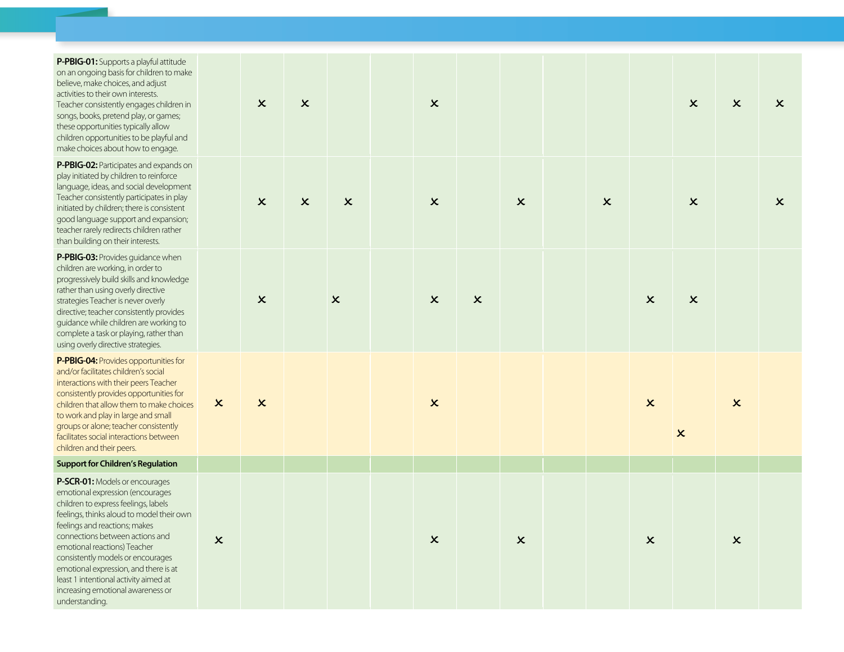| P-PBIG-01: Supports a playful attitude<br>on an ongoing basis for children to make<br>believe, make choices, and adjust<br>activities to their own interests.<br>Teacher consistently engages children in<br>songs, books, pretend play, or games;<br>these opportunities typically allow<br>children opportunities to be playful and<br>make choices about how to engage.                                                                |                           | $\boldsymbol{\mathsf{x}}$ | $\boldsymbol{\mathsf{x}}$ |                           | $\pmb{\times}$            |                |                           |                           |                           | $\boldsymbol{\mathsf{x}}$ | $\boldsymbol{\mathsf{x}}$ | $\boldsymbol{\mathsf{x}}$ |
|-------------------------------------------------------------------------------------------------------------------------------------------------------------------------------------------------------------------------------------------------------------------------------------------------------------------------------------------------------------------------------------------------------------------------------------------|---------------------------|---------------------------|---------------------------|---------------------------|---------------------------|----------------|---------------------------|---------------------------|---------------------------|---------------------------|---------------------------|---------------------------|
| P-PBIG-02: Participates and expands on<br>play initiated by children to reinforce<br>language, ideas, and social development<br>Teacher consistently participates in play<br>initiated by children; there is consistent<br>good language support and expansion;<br>teacher rarely redirects children rather<br>than building on their interests.                                                                                          |                           | $\boldsymbol{\mathsf{x}}$ | $\boldsymbol{\mathsf{x}}$ | $\boldsymbol{\mathsf{x}}$ | $\pmb{\times}$            |                | $\boldsymbol{\mathsf{x}}$ | $\boldsymbol{\mathsf{x}}$ |                           | $\boldsymbol{\mathsf{x}}$ |                           | $\pmb{\times}$            |
| P-PBIG-03: Provides guidance when<br>children are working, in order to<br>progressively build skills and knowledge<br>rather than using overly directive<br>strategies Teacher is never overly<br>directive; teacher consistently provides<br>guidance while children are working to<br>complete a task or playing, rather than<br>using overly directive strategies.                                                                     |                           | $\pmb{\times}$            |                           | $\boldsymbol{\mathsf{x}}$ | $\pmb{\times}$            | $\pmb{\times}$ |                           |                           | $\boldsymbol{\mathsf{x}}$ | $\boldsymbol{\mathsf{x}}$ |                           |                           |
| P-PBIG-04: Provides opportunities for<br>and/or facilitates children's social<br>interactions with their peers Teacher<br>consistently provides opportunities for<br>children that allow them to make choices<br>to work and play in large and small<br>groups or alone; teacher consistently<br>facilitates social interactions between<br>children and their peers.                                                                     | $\boldsymbol{\mathsf{x}}$ | $\boldsymbol{\mathsf{x}}$ |                           |                           | $\boldsymbol{\mathsf{x}}$ |                |                           |                           | $\boldsymbol{\mathsf{x}}$ | $\boldsymbol{\mathsf{x}}$ | $\boldsymbol{\mathsf{x}}$ |                           |
| <b>Support for Children's Regulation</b>                                                                                                                                                                                                                                                                                                                                                                                                  |                           |                           |                           |                           |                           |                |                           |                           |                           |                           |                           |                           |
| P-SCR-01: Models or encourages<br>emotional expression (encourages<br>children to express feelings, labels<br>feelings, thinks aloud to model their own<br>feelings and reactions; makes<br>connections between actions and<br>emotional reactions) Teacher<br>consistently models or encourages<br>emotional expression, and there is at<br>least 1 intentional activity aimed at<br>increasing emotional awareness or<br>understanding. | $\pmb{\times}$            |                           |                           |                           | $\boldsymbol{\mathsf{x}}$ |                | $\boldsymbol{\mathsf{x}}$ |                           | $\boldsymbol{\mathsf{x}}$ |                           | $\boldsymbol{\mathsf{x}}$ |                           |